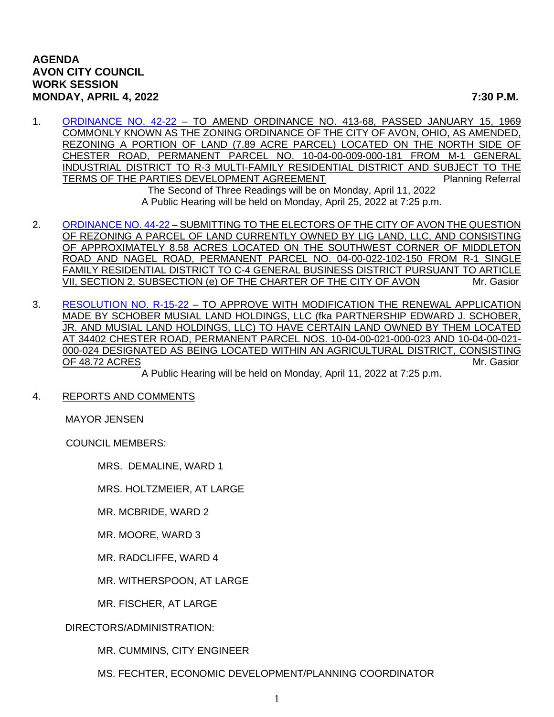## **AGENDA AVON CITY COUNCIL WORK SESSION MONDAY, APRIL 4, 2022 7:30 P.M.**

- 1. [ORDINANCE NO. 42-22](https://www.cityofavon.com/DocumentCenter/View/7699/Ordinance-No-42-22---Rezoning---Concord-Village---Final) TO AMEND ORDINANCE NO. 413-68, PASSED JANUARY 15, 1969 COMMONLY KNOWN AS THE ZONING ORDINANCE OF THE CITY OF AVON, OHIO, AS AMENDED, REZONING A PORTION OF LAND (7.89 ACRE PARCEL) LOCATED ON THE NORTH SIDE OF CHESTER ROAD, PERMANENT PARCEL NO. 10-04-00-009-000-181 FROM M-1 GENERAL INDUSTRIAL DISTRICT TO R-3 MULTI-FAMILY RESIDENTIAL DISTRICT AND SUBJECT TO THE TERMS OF THE PARTIES DEVELOPMENT AGREEMENT PLANNING Planning Referral The Second of Three Readings will be on Monday, April 11, 2022 A Public Hearing will be held on Monday, April 25, 2022 at 7:25 p.m.
- 2. [ORDINANCE NO. 44-22](https://www.cityofavon.com/DocumentCenter/View/7718/Ordinance-No-44-22-Lig-Land-LLC-ballot-rezoning) SUBMITTING TO THE ELECTORS OF THE CITY OF AVON THE QUESTION OF REZONING A PARCEL OF LAND CURRENTLY OWNED BY LIG LAND, LLC, AND CONSISTING OF APPROXIMATELY 8.58 ACRES LOCATED ON THE SOUTHWEST CORNER OF MIDDLETON ROAD AND NAGEL ROAD, PERMANENT PARCEL NO. 04-00-022-102-150 FROM R-1 SINGLE FAMILY RESIDENTIAL DISTRICT TO C-4 GENERAL BUSINESS DISTRICT PURSUANT TO ARTICLE VII, SECTION 2, SUBSECTION (e) OF THE CHARTER OF THE CITY OF AVON Mr. Gasior
- 3. [RESOLUTION NO. R-15-22](https://www.cityofavon.com/DocumentCenter/View/7720/Resolution-No-R-15-22-Schober---Musial-Agr-Dist) TO APPROVE WITH MODIFICATION THE RENEWAL APPLICATION MADE BY SCHOBER MUSIAL LAND HOLDINGS, LLC (fka PARTNERSHIP EDWARD J. SCHOBER, JR. AND MUSIAL LAND HOLDINGS, LLC) TO HAVE CERTAIN LAND OWNED BY THEM LOCATED AT 34402 CHESTER ROAD, PERMANENT PARCEL NOS. 10-04-00-021-000-023 AND 10-04-00-021- 000-024 DESIGNATED AS BEING LOCATED WITHIN AN AGRICULTURAL DISTRICT, CONSISTING OF 48.72 ACRES Mr. Gasior

A Public Hearing will be held on Monday, April 11, 2022 at 7:25 p.m.

## 4. REPORTS AND COMMENTS

MAYOR JENSEN

COUNCIL MEMBERS:

MRS. DEMALINE, WARD 1

MRS. HOLTZMEIER, AT LARGE

MR. MCBRIDE, WARD 2

MR. MOORE, WARD 3

MR. RADCLIFFE, WARD 4

MR. WITHERSPOON, AT LARGE

MR. FISCHER, AT LARGE

DIRECTORS/ADMINISTRATION:

MR. CUMMINS, CITY ENGINEER

MS. FECHTER, ECONOMIC DEVELOPMENT/PLANNING COORDINATOR